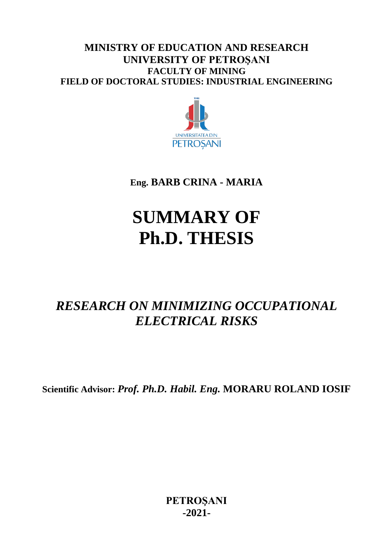## **MINISTRY OF EDUCATION AND RESEARCH UNIVERSITY OF PETROŞANI FACULTY OF MINING FIELD OF DOCTORAL STUDIES: INDUSTRIAL ENGINEERING**



**Eng. BARB CRINA - MARIA**

# **SUMMARY OF Ph.D. THESIS**

# *RESEARCH ON MINIMIZING OCCUPATIONAL ELECTRICAL RISKS*

**Scientific Advisor:** *Prof. Ph.D. Habil. Eng.* **MORARU ROLAND IOSIF**

**PETROŞANI -2021-**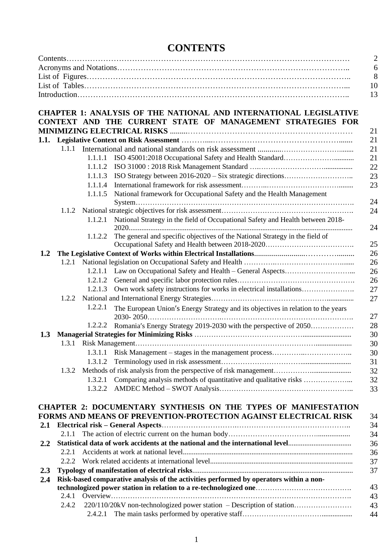# **CONTENTS**

|         |       |         | <b>CHAPTER 1: ANALYSIS OF THE NATIONAL AND INTERNATIONAL LEGISLATIVE</b><br>CONTEXT AND THE CURRENT STATE OF MANAGEMENT STRATEGIES FOR |
|---------|-------|---------|----------------------------------------------------------------------------------------------------------------------------------------|
|         |       |         |                                                                                                                                        |
|         |       |         |                                                                                                                                        |
|         |       |         |                                                                                                                                        |
|         |       | 1.1.1.1 |                                                                                                                                        |
|         |       | 1.1.1.2 |                                                                                                                                        |
|         |       | 1.1.1.3 |                                                                                                                                        |
|         |       | 1.1.1.4 |                                                                                                                                        |
|         |       | 1.1.1.5 | National framework for Occupational Safety and the Health Management                                                                   |
|         |       |         |                                                                                                                                        |
|         | 1.1.2 |         | National Strategy in the field of Occupational Safety and Health between 2018-                                                         |
|         |       | 1.1.2.1 |                                                                                                                                        |
|         |       | 1.1.2.2 | The general and specific objectives of the National Strategy in the field of                                                           |
|         |       |         |                                                                                                                                        |
| 1.2     |       |         |                                                                                                                                        |
|         | 1.2.1 |         |                                                                                                                                        |
|         |       |         |                                                                                                                                        |
|         |       | 1.2.1.2 |                                                                                                                                        |
|         |       | 1.2.1.3 | Own work safety instructions for works in electrical installations                                                                     |
|         | 1.2.2 |         |                                                                                                                                        |
|         |       | 1.2.2.1 | The European Union's Energy Strategy and its objectives in relation to the years                                                       |
|         |       | 1.2.2.2 | Romania's Energy Strategy 2019-2030 with the perspective of 2050                                                                       |
| 1.3     |       |         |                                                                                                                                        |
|         |       |         |                                                                                                                                        |
|         |       | 1.3.1.1 |                                                                                                                                        |
|         |       | 1.3.1.2 |                                                                                                                                        |
|         | 1.3.2 |         |                                                                                                                                        |
|         |       | 1.3.2.1 | Comparing analysis methods of quantitative and qualitative risks                                                                       |
|         |       | 1.3.2.2 |                                                                                                                                        |
|         |       |         |                                                                                                                                        |
|         |       |         | <b>CHAPTER 2: DOCUMENTARY SYNTHESIS ON THE TYPES OF MANIFESTATION</b>                                                                  |
|         |       |         | FORMS AND MEANS OF PREVENTION-PROTECTION AGAINST ELECTRICAL RISK                                                                       |
| 2.1     |       |         |                                                                                                                                        |
|         |       |         |                                                                                                                                        |
| $2.2\,$ |       |         | Statistical data of work accidents at the national and the international level                                                         |
|         | 2.2.1 |         |                                                                                                                                        |
|         | 2.2.2 |         |                                                                                                                                        |
| 2.3     |       |         |                                                                                                                                        |
| 2.4     |       |         | Risk-based comparative analysis of the activities performed by operators within a non-                                                 |
|         |       |         | technologized power station in relation to a re-technologized one                                                                      |
|         | 2.4.1 |         |                                                                                                                                        |
|         | 2.4.2 |         | 220/110/20kV non-technologized power station – Description of station                                                                  |
|         |       | 2.4.2.1 |                                                                                                                                        |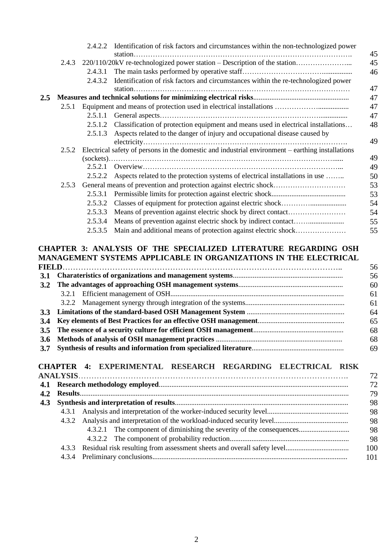|     |       | 2.4.2.2 | Identification of risk factors and circumstances within the non-technologized power              |          |
|-----|-------|---------|--------------------------------------------------------------------------------------------------|----------|
|     |       |         |                                                                                                  | 45       |
|     |       |         | 2.4.3 220/110/20kV re-technologized power station – Description of the station                   | 45       |
|     |       | 2.4.3.1 |                                                                                                  | 46       |
|     |       | 2.4.3.2 | Identification of risk factors and circumstances within the re-technologized power               | 47       |
| 2.5 |       |         |                                                                                                  | 47       |
|     |       |         |                                                                                                  | 47       |
|     |       |         |                                                                                                  | 47       |
|     |       |         | 2.5.1.2 Classification of protection equipment and means used in electrical installations        | 48       |
|     |       | 2.5.1.3 | Aspects related to the danger of injury and occupational disease caused by                       | 49       |
|     | 2.5.2 |         | Electrical safety of persons in the domestic and industrial environment - earthing installations |          |
|     |       |         |                                                                                                  | 49       |
|     |       | 2.5.2.1 |                                                                                                  | 49       |
|     |       | 2.5.2.2 | Aspects related to the protection systems of electrical installations in use                     | 50       |
|     | 2.5.3 |         | General means of prevention and protection against electric shock                                | 53       |
|     |       | 2.5.3.1 |                                                                                                  | 53       |
|     |       | 2.5.3.2 |                                                                                                  | 54       |
|     |       | 2.5.3.3 |                                                                                                  | 54       |
|     |       | 2.5.3.4 |                                                                                                  | 55       |
|     |       | 2.5.3.5 | Main and additional means of protection against electric shock                                   | 55       |
|     |       |         | <b>CHAPTER 3: ANALYSIS OF THE SPECIALIZED LITERATURE REGARDING OSH</b>                           |          |
|     |       |         | MANAGEMENT SYSTEMS APPLICABLE IN ORGANIZATIONS IN THE ELECTRICAL                                 |          |
|     |       |         |                                                                                                  | 56       |
| 3.1 |       |         |                                                                                                  | 56       |
| 3.2 |       |         |                                                                                                  | 60       |
|     | 3.2.1 |         |                                                                                                  | 61       |
|     |       |         | $2.2.2$ M, we can contribute the contract of the second second $\mathcal{L}$                     | $\sim$ 1 |

|  | -61 |
|--|-----|
|  | 64  |
|  | -65 |
|  | .68 |
|  | 68  |

|--|--|--|

### **CHAPTER 4: EXPERIMENTAL RESEARCH REGARDING ELECTRICAL RISK**

| 4.2 |  |                                                                       | 79  |
|-----|--|-----------------------------------------------------------------------|-----|
|     |  |                                                                       | 98  |
|     |  |                                                                       | 98  |
|     |  |                                                                       | 98  |
|     |  | 4.3.2.1 The component of diminishing the severity of the consequences | 98  |
|     |  |                                                                       | 98  |
|     |  |                                                                       | 100 |
|     |  |                                                                       |     |
|     |  |                                                                       |     |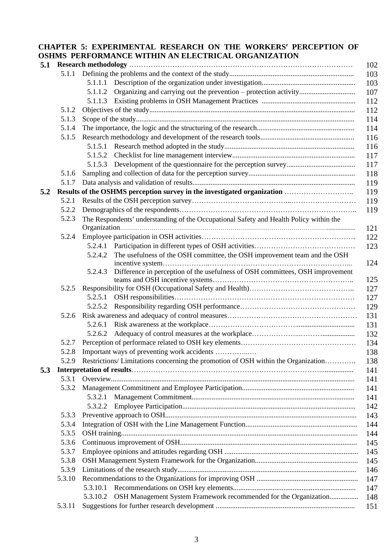#### **CHAPTER 5: EXPERIMENTAL RESEARCH ON THE WORKERS PERCEPTION OF OSHMS PERFORMANCE WITHIN AN ELECTRICAL ORGANIZATION**

| 5.1 |                | 102                                                                                            |
|-----|----------------|------------------------------------------------------------------------------------------------|
|     |                | 103                                                                                            |
|     |                | 103                                                                                            |
|     |                | 107<br>5.1.1.2                                                                                 |
|     |                | 112                                                                                            |
|     | 5.1.2          | 112                                                                                            |
|     | 5.1.3          | 114                                                                                            |
|     | 5.1.4          | 114                                                                                            |
|     | 5.1.5          | 116                                                                                            |
|     |                | 116                                                                                            |
|     |                | 117                                                                                            |
|     |                | 117                                                                                            |
|     | 5.1.6          | 118                                                                                            |
|     | 5.1.7          | 119                                                                                            |
| 5.2 |                | Results of the OSHMS perception survey in the investigated organization<br>119                 |
|     | 5.2.1          | 119                                                                                            |
|     | 5.2.2          | 119                                                                                            |
|     | 5.2.3          | The Respondents' understanding of the Occupational Safety and Health Policy within the         |
|     |                | 121                                                                                            |
|     | 5.2.4          | 122                                                                                            |
|     |                | 123                                                                                            |
|     |                | The usefulness of the OSH committee, the OSH improvement team and the OSH<br>5.2.4.2<br>124    |
|     |                | Difference in perception of the usefulness of OSH committees, OSH improvement<br>5.2.4.3       |
|     | 5.2.5          | 125                                                                                            |
|     |                | 127<br>5.2.5.1                                                                                 |
|     |                | 127                                                                                            |
|     | 5.2.6          | 129<br>131                                                                                     |
|     |                | 5.2.6.1                                                                                        |
|     |                | 131<br>5.2.6.2                                                                                 |
|     |                | 132                                                                                            |
|     | 5.2.7<br>5.2.8 | 134                                                                                            |
|     |                | 138<br>5.2.9 Restrictions/ Limitations concerning the promotion of OSH within the Organization |
|     |                | 138                                                                                            |
| 5.3 | 5.3.1          | 141                                                                                            |
|     | 5.3.2          | 141                                                                                            |
|     |                | 141                                                                                            |
|     |                | 141                                                                                            |
|     |                | 5.3.2.2<br>142                                                                                 |
|     | 5.3.3          | 143                                                                                            |
|     | 5.3.4<br>5.3.5 | 144                                                                                            |
|     | 5.3.6          | 144                                                                                            |
|     | 5.3.7          | 145                                                                                            |
|     |                | 145                                                                                            |
|     | 5.3.8          | 145                                                                                            |
|     | 5.3.9          | 146                                                                                            |
|     | 5.3.10         | 147                                                                                            |
|     |                | 5.3.10.1<br>147                                                                                |
|     |                | OSH Management System Framework recommended for the Organization<br>5.3.10.2<br>148            |
|     | 5.3.11         | 151                                                                                            |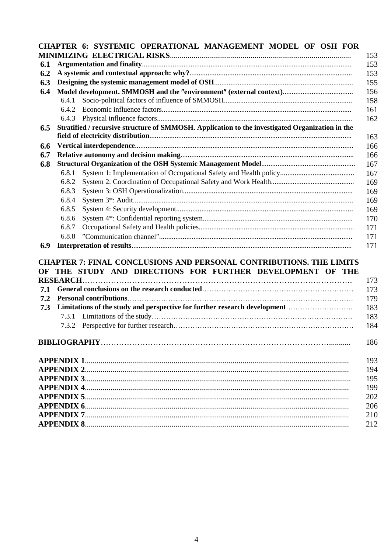|     | CHAPTER 6: SYSTEMIC OPERATIONAL MANAGEMENT MODEL OF OSH FOR                                                                           |     |
|-----|---------------------------------------------------------------------------------------------------------------------------------------|-----|
|     |                                                                                                                                       | 153 |
| 6.1 |                                                                                                                                       | 153 |
| 6.2 |                                                                                                                                       | 153 |
| 6.3 |                                                                                                                                       | 155 |
| 6.4 |                                                                                                                                       | 156 |
|     | 6.4.1                                                                                                                                 | 158 |
|     | 6.4.2                                                                                                                                 | 161 |
|     |                                                                                                                                       | 162 |
| 6.5 | Stratified / recursive structure of SMMOSH. Application to the investigated Organization in the                                       | 163 |
| 6.6 |                                                                                                                                       | 166 |
| 6.7 |                                                                                                                                       | 166 |
| 6.8 |                                                                                                                                       | 167 |
|     | 6.8.1                                                                                                                                 | 167 |
|     | 6.8.2                                                                                                                                 | 169 |
|     | 6.8.3                                                                                                                                 | 169 |
|     | 6.8.4                                                                                                                                 | 169 |
|     | 6.8.5                                                                                                                                 | 169 |
|     | 6.8.6                                                                                                                                 | 170 |
|     | 6.8.7                                                                                                                                 | 171 |
|     | 6.8.8                                                                                                                                 | 171 |
| 6.9 |                                                                                                                                       | 171 |
|     |                                                                                                                                       |     |
| OF  | <b>CHAPTER 7: FINAL CONCLUSIONS AND PERSONAL CONTRIBUTIONS. THE LIMITS</b><br>THE STUDY AND DIRECTIONS FOR FURTHER DEVELOPMENT OF THE |     |
|     |                                                                                                                                       | 173 |
| 7.1 |                                                                                                                                       | 173 |
| 7.2 |                                                                                                                                       | 179 |
| 7.3 | Limitations of the study and perspective for further research development                                                             | 183 |
|     |                                                                                                                                       | 183 |
|     | 7.3.2                                                                                                                                 |     |
|     |                                                                                                                                       | 184 |
|     |                                                                                                                                       | 186 |
|     |                                                                                                                                       | 193 |
|     |                                                                                                                                       | 194 |
|     |                                                                                                                                       | 195 |
|     |                                                                                                                                       | 199 |
|     |                                                                                                                                       | 202 |
|     |                                                                                                                                       | 206 |
|     |                                                                                                                                       | 210 |
|     |                                                                                                                                       | 212 |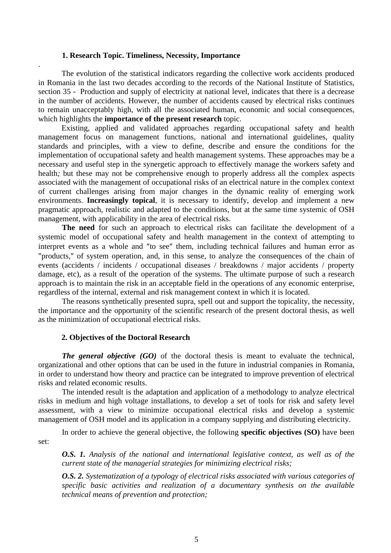#### **1. Research Topic. Timeliness, Necessity, Importance**

.

The evolution of the statistical indicators regarding the collective work accidents produced in Romania in the last two decades according to the records of the National Institute of Statistics, section 35 - Production and supply of electricity at national level, indicates that there is a decrease in the number of accidents. However, the number of accidents caused by electrical risks continues to remain unacceptably high, with all the associated human, economic and social consequences, which highlights the **importance of the present research** topic.

Existing, applied and validated approaches regarding occupational safety and health management focus on management functions, national and international guidelines, quality standards and principles, with a view to define, describe and ensure the conditions for the implementation of occupational safety and health management systems. These approaches may be a necessary and useful step in the synergetic approach to effectively manage the workers safety and health*;* but these may not be comprehensive enough to properly address all the complex aspects associated with the management of occupational risks of an electrical nature in the complex context of current challenges arising from major changes in the dynamic reality of emerging work environments. **Increasingly topical**, it is necessary to identify, develop and implement a new pragmatic approach, realistic and adapted to the conditions, but at the same time systemic of OSH management, with applicability in the area of electrical risks.

**The need** for such an approach to electrical risks can facilitate the development of a systemic model of occupational safety and health management in the context of attempting to interpret events as a whole and "to see" them, including technical failures and human error as "products," of system operation, and, in this sense, to analyze the consequences of the chain of events (accidents / incidents / occupational diseases / breakdowns / major accidents / property damage, etc), as a result of the operation of the systems. The ultimate purpose of such a research approach is to maintain the risk in an acceptable field in the operations of any economic enterprise, regardless of the internal, external and risk management context in which it is located.

The reasons synthetically presented supra, spell out and support the topicality, the necessity, the importance and the opportunity of the scientific research of the present doctoral thesis, as well as the minimization of occupational electrical risks.

#### **2. Objectives of the Doctoral Research**

*The general objective (GO)* of the doctoral thesis is meant to evaluate the technical, organizational and other options that can be used in the future in industrial companies in Romania, in order to understand how theory and practice can be integrated to improve prevention of electrical risks and related economic results.

The intended result is the adaptation and application of a methodology to analyze electrical risks in medium and high voltage installations, to develop a set of tools for risk and safety level assessment, with a view to minimize occupational electrical risks and develop a systemic management of OSH model and its application in a company supplying and distributing electricity.

In order to achieve the general objective, the following **specific objectives (SO)** have been set:

*O.S. 1. Analysis of the national and international legislative context, as well as of the current state of the managerial strategies for minimizing electrical risks;* 

*O.S. 2. Systematization of a typology of electrical risks associated with various categories of specific basic activities and realization of a documentary synthesis on the available technical means of prevention and protection;*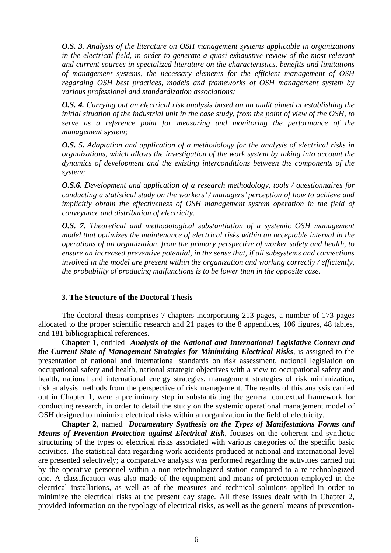*O.S. 3. Analysis of the literature on OSH management systems applicable in organizations in the electrical field, in order to generate a quasi-exhaustive review of the most relevant and current sources in specialized literature on the characteristics, benefits and limitations of management systems, the necessary elements for the efficient management of OSH regarding OSH best practices, models and frameworks of OSH management system by various professional and standardization associations;*

*O.S. 4. Carrying out an electrical risk analysis based on an audit aimed at establishing the initial situation of the industrial unit in the case study, from the point of view of the OSH, to serve as a reference point for measuring and monitoring the performance of the management system;*

*O.S. 5. Adaptation and application of a methodology for the analysis of electrical risks in organizations, which allows the investigation of the work system by taking into account the dynamics of development and the existing interconditions between the components of the system;*

*O.S.6. Development and application of a research methodology, tools / questionnaires for conducting a statistical study on the workers / managers perception of how to achieve and implicitly obtain the effectiveness of OSH management system operation in the field of conveyance and distribution of electricity.* 

*O.S. 7. Theoretical and methodological substantiation of a systemic OSH management model that optimizes the maintenance of electrical risks within an acceptable interval in the operations of an organization, from the primary perspective of worker safety and health, to ensure an increased preventive potential, in the sense that, if all subsystems and connections involved in the model are present within the organization and working correctly / efficiently, the probability of producing malfunctions is to be lower than in the opposite case.*

#### **3. The Structure of the Doctoral Thesis**

The doctoral thesis comprises 7 chapters incorporating 213 pages, a number of 173 pages allocated to the proper scientific research and 21 pages to the 8 appendices, 106 figures, 48 tables, and 181 bibliographical references.

**Chapter 1**, entitled *Analysis of the National and International Legislative Context and the Current State of Management Strategies for Minimizing Electrical Risks,* is assigned to the presentation of national and international standards on risk assessment, national legislation on occupational safety and health, national strategic objectives with a view to occupational safety and health, national and international energy strategies, management strategies of risk minimization, risk analysis methods from the perspective of risk management. The results of this analysis carried out in Chapter 1, were a preliminary step in substantiating the general contextual framework for conducting research, in order to detail the study on the systemic operational management model of OSH designed to minimize electrical risks within an organization in the field of electricity.

**Chapter 2**, named *Documentary Synthesis on the Types of Manifestations Forms and Means of Prevention-Protection against Electrical Risk*, focuses on the coherent and synthetic structuring of the types of electrical risks associated with various categories of the specific basic activities. The statistical data regarding work accidents produced at national and international level are presented selectively; a comparative analysis was performed regarding the activities carried out by the operative personnel within a non-retechnologized station compared to a re-technologized one. A classification was also made of the equipment and means of protection employed in the electrical installations, as well as of the measures and technical solutions applied in order to minimize the electrical risks at the present day stage. All these issues dealt with in Chapter 2, provided information on the typology of electrical risks, as well as the general means of prevention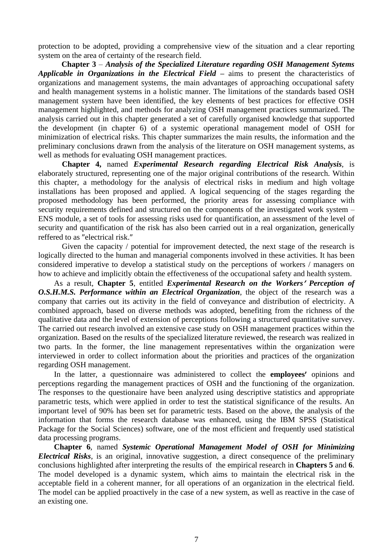protection to be adopted, providing a comprehensive view of the situation and a clear reporting system on the area of certainty of the research field.

**Chapter 3** – *Analysis of the Specialized Literature regarding OSH Management Sytems Applicable in Organizations in the Electrical Field –* aims to present the characteristics of organizations and management systems, the main advantages of approaching occupational safety and health management systems in a holistic manner. The limitations of the standards based OSH management system have been identified, the key elements of best practices for effective OSH management highlighted, and methods for analyzing OSH management practices summarized. The analysis carried out in this chapter generated a set of carefully organised knowledge that supported the development (in chapter 6) of a systemic operational management model of OSH for minimization of electrical risks. This chapter summarizes the main results, the information and the preliminary conclusions drawn from the analysis of the literature on OSH management systems, as well as methods for evaluating OSH management practices.

**Chapter 4,** named *Experimental Research regarding Electrical Risk Analysis*, is elaborately structured, representing one of the major original contributions of the research. Within this chapter, a methodology for the analysis of electrical risks in medium and high voltage installations has been proposed and applied. A logical sequencing of the stages regarding the proposed methodology has been performed, the priority areas for assessing compliance with security requirements defined and structured on the components of the investigated work system – ENS module, a set of tools for assessing risks used for quantification, an assessment of the level of security and quantification of the risk has also been carried out in a real organization, generically reffered to as "electrical risk."

Given the capacity / potential for improvement detected, the next stage of the research is logically directed to the human and managerial components involved in these activities. It has been considered imperative to develop a statistical study on the perceptions of workers / managers on how to achieve and implicitly obtain the effectiveness of the occupational safety and health system.

As a result, **Chapter 5**, entitled *Experimental Research on the Workers Perception of O.S.H.M.S. Performance within an Electrical Organization*, the object of the research was a company that carries out its activity in the field of conveyance and distribution of electricity. A combined approach, based on diverse methods was adopted, benefiting from the richness of the qualitative data and the level of extension of perceptions following a structured quantitative survey. The carried out research involved an extensive case study on OSH management practices within the organization. Based on the results of the specialized literature reviewed, the research was realized in two parts. In the former, the line management representatives within the organization were interviewed in order to collect information about the priorities and practices of the organization regarding OSH management.

In the latter, a questionnaire was administered to collect the **employees'** opinions and perceptions regarding the management practices of OSH and the functioning of the organization. The responses to the questionaire have been analyzed using descriptive statistics and appropriate parametric tests, which were applied in order to test the statistical significance of the results. An important level of 90% has been set for parametric tests. Based on the above, the analysis of the information that forms the research database was enhanced, using the IBM SPSS (Statistical Package for the Social Sciences) software, one of the most efficient and frequently used statistical data processing programs.

**Chapter 6**, named *Systemic Operational Management Model of OSH for Minimizing Electrical Risks*, is an original, innovative suggestion, a direct consequence of the preliminary conclusions highlighted after interpreting the results of the empirical research in **Chapters 5** and **6**. The model developed is a dynamic system, which aims to maintain the electrical risk in the acceptable field in a coherent manner, for all operations of an organization in the electrical field. The model can be applied proactively in the case of a new system, as well as reactive in the case of an existing one.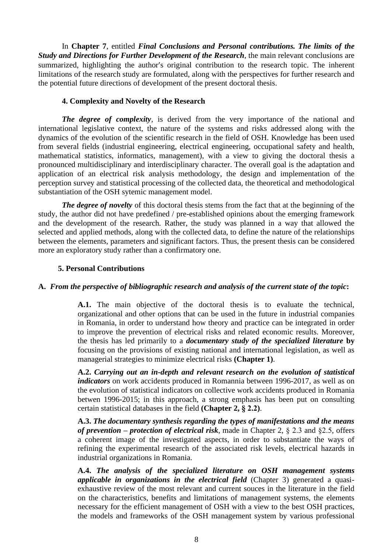In **Chapter 7**, entitled *Final Conclusions and Personal contributions. The limits of the Study and Directions for Further Development of the Research*, the main relevant conclusions are summarized, highlighting the author's original contribution to the research topic. The inherent limitations of the research study are formulated, along with the perspectives for further research and the potential future directions of development of the present doctoral thesis.

#### **4. Complexity and Novelty of the Research**

*The degree of complexity,* is derived from the very importance of the national and international legislative context, the nature of the systems and risks addressed along with the dynamics of the evolution of the scientific research in the field of OSH. Knowledge has been used from several fields (industrial engineering, electrical engineering, occupational safety and health, mathematical statistics, informatics, management), with a view to giving the doctoral thesis a pronounced multidisciplinary and interdisciplinary character. The overall goal is the adaptation and application of an electrical risk analysis methodology, the design and implementation of the perception survey and statistical processing of the collected data, the theoretical and methodological substantiation of the OSH sytemic management model.

*The degree of novelty* of this doctoral thesis stems from the fact that at the beginning of the study, the author did not have predefined / pre-established opinions about the emerging framework and the development of the research*.* Rather, the study was planned in a way that allowed the selected and applied methods, along with the collected data, to define the nature of the relationships between the elements, parameters and significant factors. Thus, the present thesis can be considered more an exploratory study rather than a confirmatory one.

#### **5. Personal Contributions**

#### **A.** *From the perspective of bibliographic research and analysis of the current state of the topic***:**

**A.1.** The main objective of the doctoral thesis is to evaluate the technical, organizational and other options that can be used in the future in industrial companies in Romania, in order to understand how theory and practice can be integrated in order to improve the prevention of electrical risks and related economic results. Moreover, the thesis has led primarily to a *documentary study of the specialized literature* **by** focusing on the provisions of existing national and international legislation, as well as managerial strategies to minimize electrical risks **(Chapter 1)**.

**A.2.** *Carrying out an in-depth and relevant research on the evolution of statistical indicators* on work accidents produced in Romannia between 1996-2017, as well as on the evolution of statistical indicators on collective work accidents produced in Romania betwen 1996-2015; in this approach, a strong emphasis has been put on consulting certain statistical databases in the field **(Chapter 2, § 2.2)**.

**A.3.** *The documentary synthesis regarding the types of manifestations and the means of prevention – protection of electrical risk*, made in Chapter 2, § 2.3 and §2.5, offers a coherent image of the investigated aspects, in order to substantiate the ways of refining the experimental research of the associated risk levels, electrical hazards in industrial organizations in Romania.

**A.4.** *The analysis of the specialized literature on OSH management systems applicable in organizations in the electrical field* (Chapter 3) generated a quasiexhaustive review of the most relevant and current souces in the literature in the field on the characteristics, benefits and limitations of management systems, the elements necessary for the efficient management of OSH with a view to the best OSH practices, the models and frameworks of the OSH management system by various professional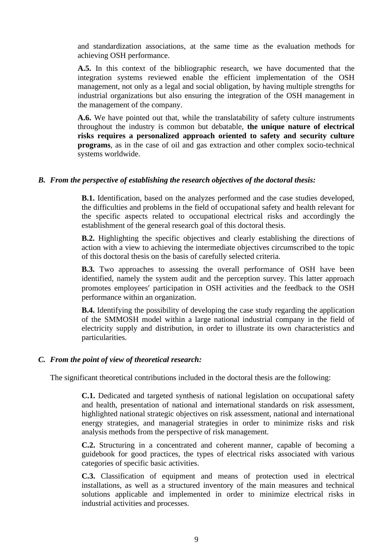and standardization associations, at the same time as the evaluation methods for achieving OSH performance.

**A.5.** In this context of the bibliographic research, we have documented that the integration systems reviewed enable the efficient implementation of the OSH management, not only as a legal and social obligation, by having multiple strengths for industrial organizations but also ensuring the integration of the OSH management in the management of the company.

**A.6.** We have pointed out that, while the translatability of safety culture instruments throughout the industry is common but debatable, **the unique nature of electrical risks requires a personalized approach oriented to safety and security culture programs**, as in the case of oil and gas extraction and other complex socio-technical systems worldwide.

#### *B. From the perspective of establishing the research objectives of the doctoral thesis:*

**B.1.** Identification, based on the analyzes performed and the case studies developed, the difficulties and problems in the field of occupational safety and health relevant for the specific aspects related to occupational electrical risks and accordingly the establishment of the general research goal of this doctoral thesis.

**B.2.** Highlighting the specific objectives and clearly establishing the directions of action with a view to achieving the intermediate objectives circumscribed to the topic of this doctoral thesis on the basis of carefully selected criteria.

**B.3.** Two approaches to assessing the overall performance of OSH have been identified, namely the system audit and the perception survey. This latter approach promotes employees' participation in OSH activities and the feedback to the OSH performance within an organization.

**B.4.** Identifying the possibility of developing the case study regarding the application of the SMMOSH model within a large national industrial company in the field of electricity supply and distribution, in order to illustrate its own characteristics and particularities.

#### *C. From the point of view of theoretical research:*

The significant theoretical contributions included in the doctoral thesis are the following:

**C.1.** Dedicated and targeted synthesis of national legislation on occupational safety and health, presentation of national and international standards on risk assessment, highlighted national strategic objectives on risk assessment, national and international energy strategies, and managerial strategies in order to minimize risks and risk analysis methods from the perspective of risk management.

**C.2.** Structuring in a concentrated and coherent manner, capable of becoming a guidebook for good practices, the types of electrical risks associated with various categories of specific basic activities.

**C.3.** Classification of equipment and means of protection used in electrical installations, as well as a structured inventory of the main measures and technical solutions applicable and implemented in order to minimize electrical risks in industrial activities and processes.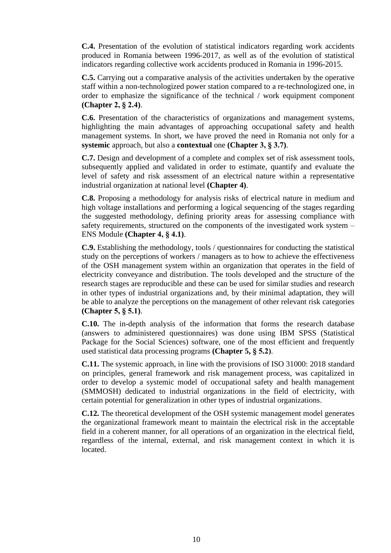**C.4.** Presentation of the evolution of statistical indicators regarding work accidents produced in Romania between 1996-2017, as well as of the evolution of statistical indicators regarding collective work accidents produced in Romania in 1996-2015.

**C.5.** Carrying out a comparative analysis of the activities undertaken by the operative staff within a non-technologized power station compared to a re-technologized one, in order to emphasize the significance of the technical / work equipment component **(Chapter 2, § 2.4)**.

**C.6.** Presentation of the characteristics of organizations and management systems, highlighting the main advantages of approaching occupational safety and health management systems. In short, we have proved the need in Romania not only for a **systemic** approach, but also a **contextual** one **(Chapter 3, § 3.7)**.

**C.7.** Design and development of a complete and complex set of risk assessment tools, subsequently applied and validated in order to estimate, quantify and evaluate the level of safety and risk assessment of an electrical nature within a representative industrial organization at national level **(Chapter 4)**.

**C.8.** Proposing a methodology for analysis risks of electrical nature in medium and high voltage installations and performing a logical sequencing of the stages regarding the suggested methodology, defining priority areas for assessing compliance with safety requirements, structured on the components of the investigated work system – ENS Module **(Chapter 4, § 4.1)**.

**C.9.** Establishing the methodology, tools / questionnaires for conducting the statistical study on the perceptions of workers / managers as to how to achieve the effectiveness of the OSH management system within an organization that operates in the field of electricity conveyance and distribution. The tools developed and the structure of the research stages are reproducible and these can be used for similar studies and research in other types of industrial organizations and, by their minimal adaptation, they will be able to analyze the perceptions on the management of other relevant risk categories **(Chapter 5, § 5.1)**.

**C.10.** The in-depth analysis of the information that forms the research database (answers to administered questionnaires) was done using IBM SPSS (Statistical Package for the Social Sciences) software, one of the most efficient and frequently used statistical data processing programs **(Chapter 5, § 5.2)**.

**C.11.** The systemic approach, in line with the provisions of ISO 31000: 2018 standard on principles, general framework and risk management process, was capitalized in order to develop a systemic model of occupational safety and health management (SMMOSH) dedicated to industrial organizations in the field of electricity, with certain potential for generalization in other types of industrial organizations.

**C.12.** The theoretical development of the OSH systemic management model generates the organizational framework meant to maintain the electrical risk in the acceptable field in a coherent manner, for all operations of an organization in the electrical field, regardless of the internal, external, and risk management context in which it is located.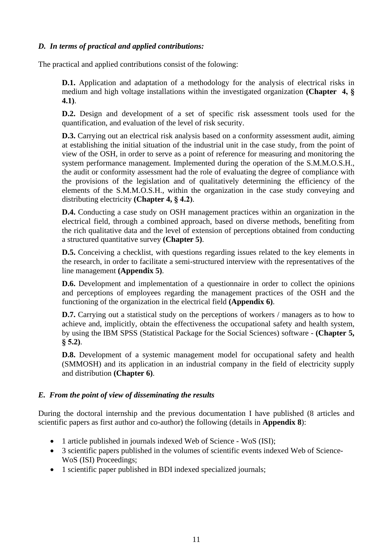#### *D. In terms of practical and applied contributions:*

The practical and applied contributions consist of the folowing:

**D.1.** Application and adaptation of a methodology for the analysis of electrical risks in medium and high voltage installations within the investigated organization **(Chapter 4, § 4.1)**.

**D.2.** Design and development of a set of specific risk assessment tools used for the quantification, and evaluation of the level of risk security.

**D.3.** Carrying out an electrical risk analysis based on a conformity assessment audit, aiming at establishing the initial situation of the industrial unit in the case study, from the point of view of the OSH, in order to serve as a point of reference for measuring and monitoring the system performance management. Implemented during the operation of the S.M.M.O.S.H., the audit or conformity assessment had the role of evaluating the degree of compliance with the provisions of the legislation and of qualitatively determining the efficiency of the elements of the S.M.M.O.S.H., within the organization in the case study conveying and distributing electricity **(Chapter 4, § 4.2)**.

**D.4.** Conducting a case study on OSH management practices within an organization in the electrical field, through a combined approach, based on diverse methods, benefiting from the rich qualitative data and the level of extension of perceptions obtained from conducting a structured quantitative survey **(Chapter 5)**.

**D.5.** Conceiving a checklist, with questions regarding issues related to the key elements in the research, in order to facilitate a semi-structured interview with the representatives of the line management **(Appendix 5)**.

**D.6.** Development and implementation of a questionnaire in order to collect the opinions and perceptions of employees regarding the management practices of the OSH and the functioning of the organization in the electrical field **(Appendix 6)**.

**D.7.** Carrying out a statistical study on the perceptions of workers / managers as to how to achieve and, implicitly, obtain the effectiveness the occupational safety and health system, by using the IBM SPSS (Statistical Package for the Social Sciences) software - **(Chapter 5, § 5.2)**.

**D.8.** Development of a systemic management model for occupational safety and health (SMMOSH) and its application in an industrial company in the field of electricity supply and distribution **(Chapter 6)**.

#### *E. From the point of view of disseminating the results*

During the doctoral internship and the previous documentation I have published (8 articles and scientific papers as first author and co-author) the following (details in **Appendix 8**):

- 1 article published in journals indexed Web of Science WoS (ISI);
- 3 scientific papers published in the volumes of scientific events indexed Web of Science-WoS (ISI) Proceedings;
- 1 scientific paper published in BDI indexed specialized journals;